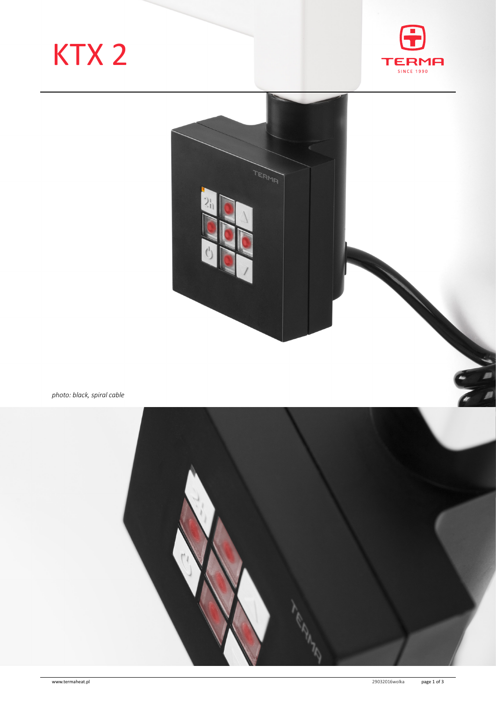# KTX 2





*photo: black, spiral cable*

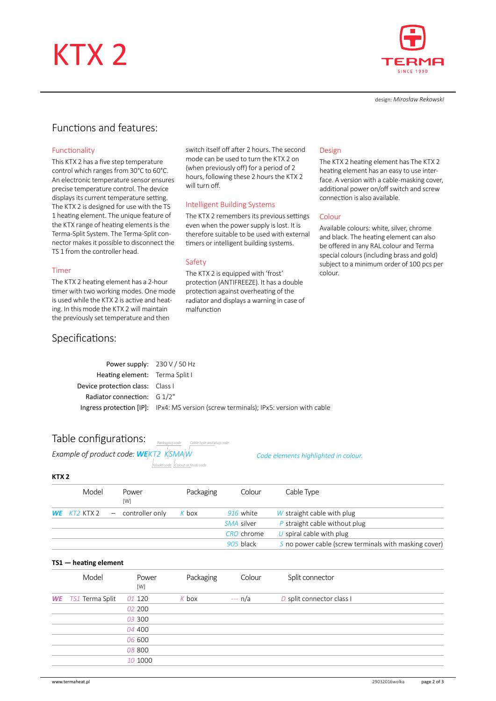## KTX 2



design: *Mirosław Rekowski*

### Functions and features:

#### Functionality

This KTX 2 has a five step temperature control which ranges from 30°C to 60°C. An electronic temperature sensor ensures precise temperature control. The device displays its current temperature setting. The KTX 2 is designed for use with the TS 1 heating element. The unique feature of the KTX range of heating elements is the Terma-Split System. The Terma-Split connector makes it possible to disconnect the TS 1 from the controller head.

#### Timer

The KTX 2 heating element has a 2-hour timer with two working modes. One mode is used while the KTX 2 is active and heating. In this mode the KTX 2 will maintain the previously set temperature and then

### Specifications:

switch itself off after 2 hours. The second mode can be used to turn the KTX 2 on (when previously off) for a period of 2 hours, following these 2 hours the KTX 2 will turn off.

#### Intelligent Building Systems

The KTX 2 remembers its previous settings even when the power supply is lost. It is therefore suitable to be used with external timers or intelligent building systems.

#### Safety

The KTX 2 is equipped with 'frost' protection (ANTIFREEZE). It has a double protection against overheating of the radiator and displays a warning in case of malfunction

#### Design

The KTX 2 heating element has The KTX 2 heating element has an easy to use interface. A version with a cable-masking cover, additional power on/off switch and screw connection is also available.

#### Colour

Available colours: white, silver, chrome and black. The heating element can also be offered in any RAL colour and Terma special colours (including brass and gold) subject to a minimum order of 100 pcs per colour.

| Power supply: $230 \text{ V} / 50 \text{ Hz}$ |                                                                                       |
|-----------------------------------------------|---------------------------------------------------------------------------------------|
| Heating element: Terma Split I                |                                                                                       |
| Device protection class: Class I              |                                                                                       |
| Radiator connection: $G_1/2$ "                |                                                                                       |
|                                               | Ingress protection [IP]: IPx4: MS version (screw terminals); IPx5: version with cable |

*Model code Colour or finish code*

*Packaging code Cable type and plug code*

| Table configurations: |  |
|-----------------------|--|
|-----------------------|--|

| Example of product code: <b>WE</b> KT2_KSMAW |  |  |
|----------------------------------------------|--|--|

*Code elements highlighted in colour.*

#### **KTX 2**

| Model              | Power<br>[W]      | Packaging | Colour     | Cable Type                                            |
|--------------------|-------------------|-----------|------------|-------------------------------------------------------|
| $WE$ $KT2$ $KTX$ 2 | - controller only | K box     | 916 white  | W straight cable with plug                            |
|                    |                   |           | SMA silver | $P$ straight cable without plug                       |
|                    |                   |           | CRO chrome | U spiral cable with plug                              |
|                    |                   |           | 905 black  | S no power cable (screw terminals with masking cover) |

#### **TS1 — heating element**

| Model                     | Power<br>[W] | Packaging | Colour   | Split connector           |  |
|---------------------------|--------------|-----------|----------|---------------------------|--|
| <b>WE</b> TS1 Terma Split | 01 120       | $K$ box   | $-- n/a$ | D split connector class I |  |
|                           | 02 200       |           |          |                           |  |
|                           | 03 300       |           |          |                           |  |
|                           | 04 400       |           |          |                           |  |
|                           | 06 600       |           |          |                           |  |
|                           | 08 800       |           |          |                           |  |
|                           | 10 1000      |           |          |                           |  |
|                           |              |           |          |                           |  |